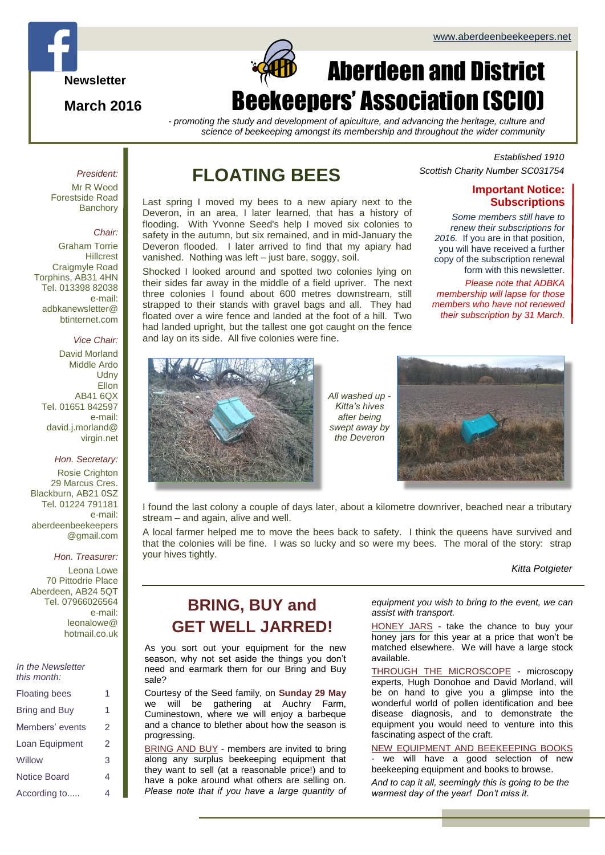

**March 2016**



# Aberdeen and District Beekeepers' Association (SCIO)

*- promoting the study and development of apiculture, and advancing the heritage, culture and science of beekeeping amongst its membership and throughout the wider community*

#### *President:*

Mr R Wood Forestside Road **Banchory** 

#### *Chair:*

Graham Torrie Hillcrest Craigmyle Road Torphins, AB31 4HN Tel. 013398 82038 e-mail: adbkanewsletter@ btinternet.com

## *Vice Chair:*

David Morland Middle Ardo **Udny Ellon** AB41 6QX Tel. 01651 842597 e-mail: david.j.morland@ virgin.net

#### *Hon. Secretary:*

Rosie Crighton 29 Marcus Cres. Blackburn, AB21 0SZ Tel. 01224 791181 e-mail: aberdeenbeekeepers @gmail.com

#### *Hon. Treasurer:*

Leona Lowe 70 Pittodrie Place Aberdeen, AB24 5QT Tel. 07966026564 e-mail: leonalowe@ hotmail.co.uk

| IN THE INEWSTETIER<br>this month: |   |
|-----------------------------------|---|
| <b>Floating bees</b>              | 1 |
| Bring and Buy                     | 1 |
| Members' events                   | 2 |
| Loan Equipment                    | 2 |
| Willow                            | 3 |
| <b>Notice Board</b>               |   |

According to..... 4

*In the Newsletter* 

## **FLOATING BEES**

Last spring I moved my bees to a new apiary next to the Deveron, in an area, I later learned, that has a history of flooding. With Yvonne Seed's help I moved six colonies to safety in the autumn, but six remained, and in mid-January the Deveron flooded. I later arrived to find that my apiary had vanished. Nothing was left – just bare, soggy, soil.

Shocked I looked around and spotted two colonies lying on their sides far away in the middle of a field upriver. The next three colonies I found about 600 metres downstream, still strapped to their stands with gravel bags and all. They had floated over a wire fence and landed at the foot of a hill. Two had landed upright, but the tallest one got caught on the fence and lay on its side. All five colonies were fine.

*Established 1910 Scottish Charity Number SC031754*

## **Important Notice: Subscriptions**

*Some members still have to renew their subscriptions for 2016.* If you are in that position, you will have received a further copy of the subscription renewal form with this newsletter.

*Please note that ADBKA membership will lapse for those members who have not renewed their subscription by 31 March.*



*All washed up - Kitta's hives after being swept away by the Deveron*



I found the last colony a couple of days later, about a kilometre downriver, beached near a tributary stream – and again, alive and well.

A local farmer helped me to move the bees back to safety. I think the queens have survived and that the colonies will be fine. I was so lucky and so were my bees. The moral of the story: strap your hives tightly.

#### *Kitta Potgieter*

## **BRING, BUY and GET WELL JARRED!**

As you sort out your equipment for the new season, why not set aside the things you don't need and earmark them for our Bring and Buy sale?

Courtesy of the Seed family, on **Sunday 29 May** we will be gathering at Auchry Farm, Cuminestown, where we will enjoy a barbeque and a chance to blether about how the season is progressing.

BRING AND BUY - members are invited to bring along any surplus beekeeping equipment that they want to sell (at a reasonable price!) and to have a poke around what others are selling on. *Please note that if you have a large quantity of*  *equipment you wish to bring to the event, we can assist with transport.*

HONEY JARS - take the chance to buy your honey jars for this year at a price that won't be matched elsewhere. We will have a large stock available.

THROUGH THE MICROSCOPE - microscopy experts, Hugh Donohoe and David Morland, will be on hand to give you a glimpse into the wonderful world of pollen identification and bee disease diagnosis, and to demonstrate the equipment you would need to venture into this fascinating aspect of the craft.

NEW EQUIPMENT AND BEEKEEPING BOOKS

we will have a good selection of new beekeeping equipment and books to browse.

*And to cap it all, seemingly this is going to be the warmest day of the year! Don't miss it.*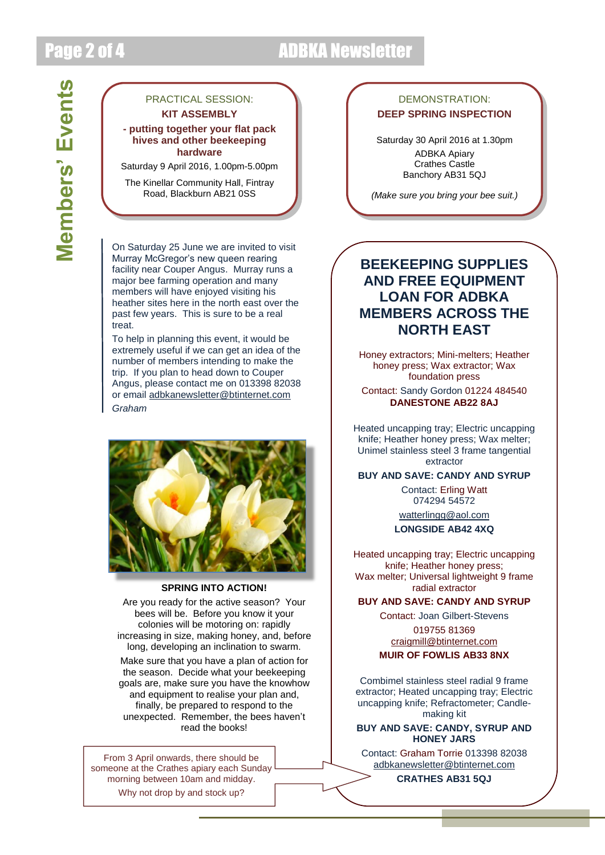## Page 2 of 4 ADBKA Newsletter

# **Members' Events Members' Events**

## PRACTICAL SESSION: **KIT ASSEMBLY**

#### **- putting together your flat pack hives and other beekeeping hardware**

Saturday 9 April 2016, 1.00pm-5.00pm

The Kinellar Community Hall, Fintray Road, Blackburn AB21 0SS

On Saturday 25 June we are invited to visit Murray McGregor's new queen rearing facility near Couper Angus. Murray runs a major bee farming operation and many members will have enjoyed visiting his heather sites here in the north east over the past few years. This is sure to be a real treat.

To help in planning this event, it would be extremely useful if we can get an idea of the number of members intending to make the trip. If you plan to head down to Couper Angus, please contact me on 013398 82038 or email [adbkanewsletter@btinternet.com](mailto:adbkanewsletter@btinternet.com) *Graham*



### **SPRING INTO ACTION!**

Are you ready for the active season? Your bees will be. Before you know it your colonies will be motoring on: rapidly increasing in size, making honey, and, before long, developing an inclination to swarm.

Make sure that you have a plan of action for the season. Decide what your beekeeping goals are, make sure you have the knowhow and equipment to realise your plan and, finally, be prepared to respond to the unexpected. Remember, the bees haven't read the books!

From 3 April onwards, there should be someone at the Crathes apiary each Sunday morning between 10am and midday. Why not drop by and stock up?

## DEMONSTRATION: **DEEP SPRING INSPECTION**

Saturday 30 April 2016 at 1.30pm ADBKA Apiary Crathes Castle Banchory AB31 5QJ

*(Make sure you bring your bee suit.)*

## **BEEKEEPING SUPPLIES AND FREE EQUIPMENT LOAN FOR ADBKA MEMBERS ACROSS THE NORTH EAST**

Honey extractors; Mini-melters; Heather honey press; Wax extractor; Wax foundation press

Contact: Sandy Gordon 01224 484540 **DANESTONE AB22 8AJ**

Heated uncapping tray; Electric uncapping knife; Heather honey press; Wax melter; Unimel stainless steel 3 frame tangential extractor

**BUY AND SAVE: CANDY AND SYRUP**

Contact: Erling Watt 074294 54572

[watterlingg@aol.com](mailto:watterlingg@aol.com) **LONGSIDE AB42 4XQ**

Heated uncapping tray; Electric uncapping knife; Heather honey press; Wax melter; Universal lightweight 9 frame radial extractor

**BUY AND SAVE: CANDY AND SYRUP**

Contact: Joan Gilbert-Stevens

019755 81369 [craigmill@btinternet.com](mailto:craigmill@btinternet.com)

**MUIR OF FOWLIS AB33 8NX**

Combimel stainless steel radial 9 frame extractor; Heated uncapping tray; Electric uncapping knife; Refractometer; Candlemaking kit

**BUY AND SAVE: CANDY, SYRUP AND HONEY JARS**

Contact: Graham Torrie 013398 82038 [adbkanewsletter@btinternet.com](mailto:adbkanewsletter@btinternet.com)

**CRATHES AB31 5QJ**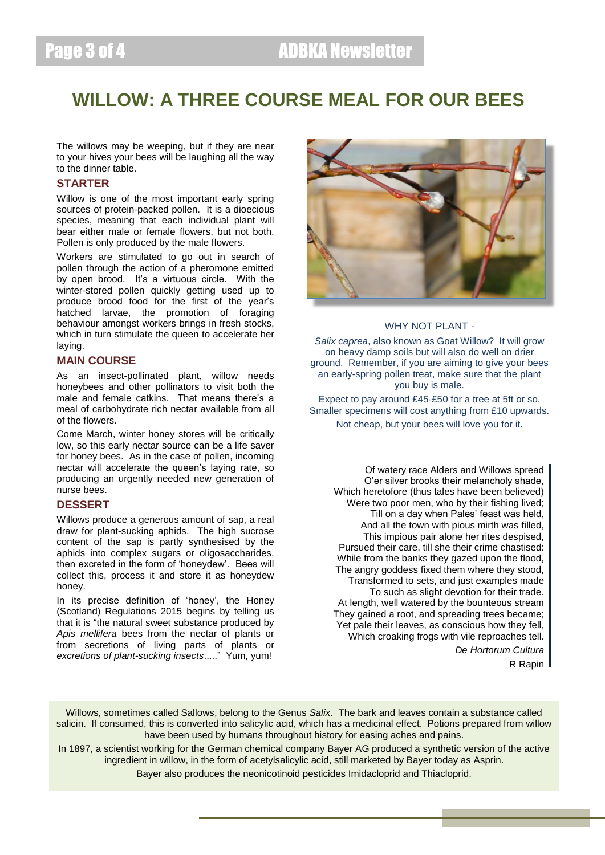## **WILLOW: A THREE COURSE MEAL FOR OUR BEES**

The willows may be weeping, but if they are near to your hives your bees will be laughing all the way to the dinner table.

## **STARTER**

Willow is one of the most important early spring sources of protein-packed pollen. It is a dioecious species, meaning that each individual plant will bear either male or female flowers, but not both. Pollen is only produced by the male flowers.

Workers are stimulated to go out in search of pollen through the action of a pheromone emitted by open brood. It's a virtuous circle. With the winter-stored pollen quickly getting used up to produce brood food for the first of the year's hatched larvae, the promotion of foraging behaviour amongst workers brings in fresh stocks, which in turn stimulate the queen to accelerate her laying.

#### **MAIN COURSE**

As an insect-pollinated plant, willow needs honeybees and other pollinators to visit both the male and female catkins. That means there's a meal of carbohydrate rich nectar available from all of the flowers.

Come March, winter honey stores will be critically low, so this early nectar source can be a life saver for honey bees. As in the case of pollen, incoming nectar will accelerate the queen's laying rate, so producing an urgently needed new generation of nurse bees.

## **DESSERT**

Willows produce a generous amount of sap, a real draw for plant-sucking aphids. The high sucrose content of the sap is partly synthesised by the aphids into complex sugars or oligosaccharides, then excreted in the form of 'honeydew'. Bees will collect this, process it and store it as honeydew honey.

In its precise definition of 'honey', the Honey (Scotland) Regulations 2015 begins by telling us that it is "the natural sweet substance produced by *Apis mellifera* bees from the nectar of plants or from secretions of living parts of plants or *excretions of plant-sucking insects*....." Yum, yum!



## WHY NOT PLANT -

*Salix caprea*, also known as Goat Willow? It will grow on heavy damp soils but will also do well on drier ground. Remember, if you are aiming to give your bees an early-spring pollen treat, make sure that the plant you buy is male.

Expect to pay around £45-£50 for a tree at 5ft or so. Smaller specimens will cost anything from £10 upwards. Not cheap, but your bees will love you for it.

Of watery race Alders and Willows spread O'er silver brooks their melancholy shade, Which heretofore (thus tales have been believed) Were two poor men, who by their fishing lived; Till on a day when Pales' feast was held, And all the town with pious mirth was filled, This impious pair alone her rites despised, Pursued their care, till she their crime chastised: While from the banks they gazed upon the flood, The angry goddess fixed them where they stood, Transformed to sets, and just examples made To such as slight devotion for their trade. At length, well watered by the bounteous stream They gained a root, and spreading trees became; Yet pale their leaves, as conscious how they fell, Which croaking frogs with vile reproaches tell.

*De Hortorum Cultura*

R Rapin

Willows, sometimes called Sallows, belong to the Genus *Salix*. The bark and leaves contain a substance called salicin. If consumed, this is converted into salicylic acid, which has a medicinal effect. Potions prepared from willow have been used by humans throughout history for easing aches and pains.

In 1897, a scientist working for the German chemical company Bayer AG produced a synthetic version of the active ingredient in willow, in the form of acetylsalicylic acid, still marketed by Bayer today as Asprin.

Bayer also produces the neonicotinoid pesticides Imidacloprid and Thiacloprid.